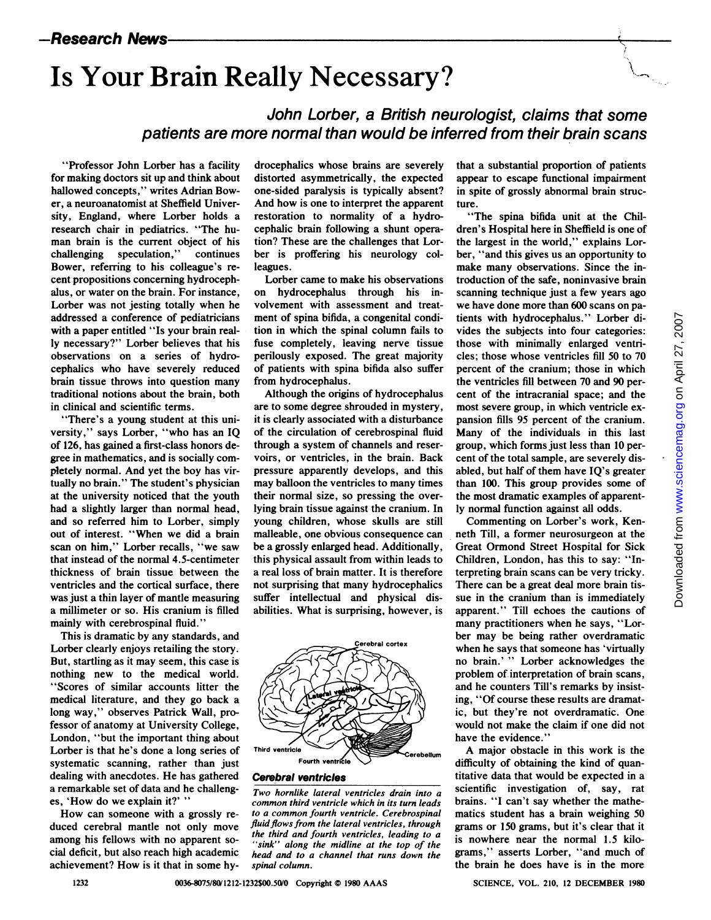# Is Your Brain Really Necessary?

## John Lorber, a British neurologist, claims that some patients are more normal than would be inferred from their brain scans

"Professor John Lorber has a facility for making doctors sit up and think about hallowed concepts," writes Adrian Bower, a neuroanatomist at Sheffield University, England, where Lorber holds a research chair in pediatrics. "The human brain is the current object of his challenging speculation," continues Bower, referring to his colleague's recent propositions concerning hydrocephalus, or water on the brain. For instance, Lorber was not jesting totally when he addressed a conference of pediatricians with a paper entitled "Is your brain really necessary?" Lorber believes that his observations on a series of hydrocephalics who have severely reduced brain tissue throws into question many traditional notions about the brain, both in clinical and scientific terms.

"There's a young student at this university," says Lorber, "who has an IQ of 126, has gained a first-class honors degree in mathematics, and is socially completely normal. And yet the boy has virtually no brain." The student's physician at the university noticed that the youth had a slightly larger than normal head, and so referred him to Lorber, simply out of interest. "When we did a brain scan on him," Lorber recalls, "we saw that instead of the normal 4.5-centimeter thickness of brain tissue between the ventricles and the cortical surface, there was just a thin layer of mantle measuring a millimeter or so. His cranium is filled mainly with cerebrospinal fluid.'

This is dramatic by any standards, and Lorber clearly enjoys retailing the story. But, startling as it may seem, this case is nothing new to the medical world. "Scores of similar accounts litter the medical literature, and they go back a long way," observes Patrick Wall, professor of anatomy at University College, London, "but the important thing about Lorber is that he's done a long series of systematic scanning, rather than just dealing with anecdotes. He has gathered a remarkable set of data and he challenges, 'How do we explain it?' "

How can someone with <sup>a</sup> grossly reduced cerebral mantle not only move among his fellows with no apparent social deficit, but also reach high academic achievement? How is it that in some hydrocephalics whose brains are severely distorted asymmetrically, the expected one-sided paralysis is typically absent? And how is one to interpret the apparent restoration to normality of a hydrocephalic brain following a shunt operation? These are the challenges that Lorber is proffering his neurology colleagues.

Lorber came to make his observations on hydrocephalus through his involvement with assessment and treatment of spina bifida, a congenital condition in which the spinal column fails to fuse completely, leaving nerve tissue perilously exposed. The great majority of patients with spina bifida also suffer from hydrocephalus.

Although the origins of hydrocephalus are to some degree shrouded in mystery, it is clearly associated with a disturbance of the circulation of cerebrospinal fluid through a system of channels and reservoirs, or ventricles, in the brain. Back pressure apparently develops, and this may balloon the ventricles to many times their normal size, so pressing the overlying brain tissue against the cranium. In young children, whose skulls are still malleable, one obvious consequence can be a grossly enlarged head. Additionally, this physical assault from within leads to a real loss of brain matter. It is therefore not surprising that many hydrocephalics suffer intellectual and physical disabilities. What is surprising, however, is



#### Cerebral ventricles

Two hornlike lateral ventricles drain into a common third ventricle which in its turn leads to a common fourth ventricle. Cerebrospinal fluid flows from the lateral ventricles, through the third and fourth ventricles, leading to a "sink" along the midline at the top of the head and to a channel that runs down the spinal column.

that a substantial proportion of patients appear to escape functional impairment in spite of grossly abnormal brain structure.

"The spina bifida unit at the Children's Hospital here in Sheffield is one of the largest in the world," explains Lorber, "and this gives us an opportunity to make many observations. Since the introduction of the safe, noninvasive brain scanning technique just a few years ago we have done more than 600 scans on patients with hydrocephalus." Lorber divides the subjects into four categories: those with minimally enlarged ventricles; those whose ventricles fill 50 to 70 percent of the cranium; those in which the ventricles fill between 70 and 90 percent of the intracranial space; and the most severe group, in which ventricle expansion fills 95 percent of the cranium. Many of the individuals in this last group, which forms just less than 10 percent of the total sample, are severely disabled, but half of them have IQ's greater than 100. This group provides some of the most dramatic examples of apparently normal function against all odds.

Commenting on Lorber's work, Kenneth Till, a former neurosurgeon at the Great Ormond Street Hospital for Sick Children, London, has this to say: "Interpreting brain scans can be very tricky. There can be a great deal more brain tissue in the cranium than is immediately apparent." Till echoes the cautions of many practitioners when he says, "Lorber may be being rather overdramatic when he says that someone has 'virtually no brain.' " Lorber acknowledges the problem of.interpretation of brain scans, and he counters Till's remarks by insisting, "Of course these results are dramatic, but they're not overdramatic. One would not make the claim if one did not have the evidence."

A major obstacle in this work is the difficulty of obtaining the kind of quantitative data that would be expected in a scientific investigation of, say, rat brains. "I can't say whether the mathematics student has a brain weighing 50 grams or 150 grams, but it's clear that it is nowhere near the normal 1.5 kilograms," asserts Lorber, "and much of the brain he does have is in the more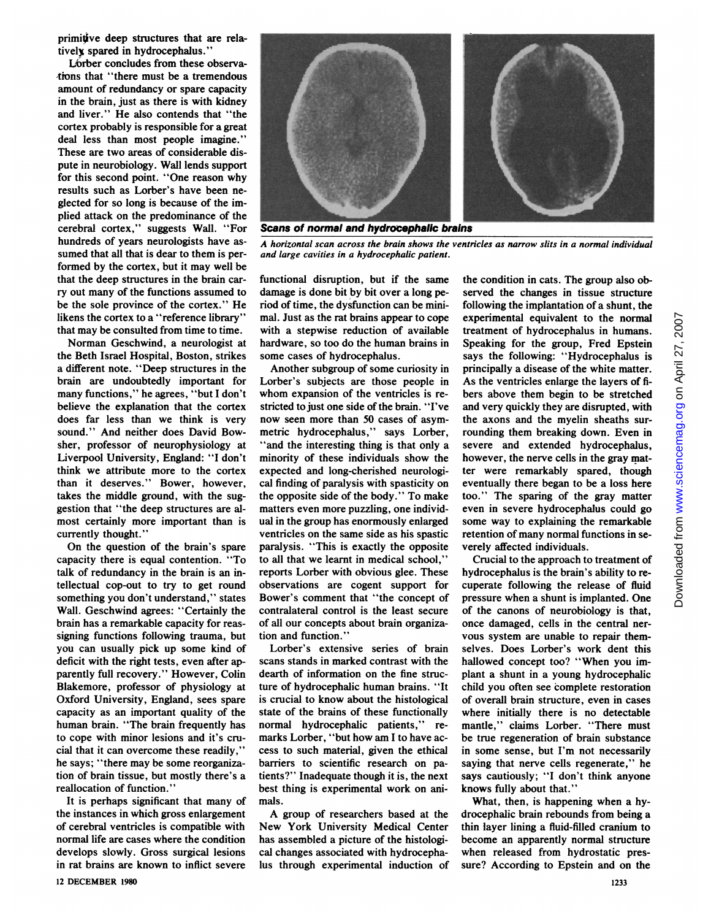primitive deep structures that are relatively spared in hydrocephalus."

Lorber concludes from these observa--tions that "there must be a tremendous amount of redundancy or spare capacity in the brain, just as there is with kidney and liver." He also contends that "the cortex probably is responsible for a great deal less than most people imagine." These are two areas of considerable dispute in neurobiology. Wall lends support for this second point. "One reason why results such as Lorber's have been neglected for so long is because of the implied attack on the predominance of the cerebral cortex," suggests Wall. "For hundreds of years neurologists have assumed that all that is dear to them is performed by the cortex, but it may well be that the deep structures in the brain carry out many of the functions assumed to be the sole province of the cortex." He likens the cortex to a "reference library" that may be consulted from time to time.

Norman Geschwind, a neurologist at the Beth Israel Hospital, Boston, strikes a different note. "Deep structures in the brain are undoubtedly important for many functions," he agrees, "but <sup>I</sup> don't believe the explanation that the cortex does far less than we think is very sound." And neither does David Bowsher, professor of neurophysiology at Liverpool University, England: "I don't think we attribute more to the cortex than it deserves." Bower, however, takes the middle ground, with the suggestion that "the deep structures are almost certainly more important than is currently thought.'

On the question of the brain's spare capacity there is equal contention. "To talk of redundancy in the brain is an intellectual cop-out to try to get round something you don't understand," states Wall. Geschwind agrees: "Certainly the brain has a remarkable capacity for reassigning functions following trauma, but you can usually pick up some kind of deficit with the right tests, even after apparently full recovery." However, Colin Blakemore, professor of physiology at Oxford University, England, sees spare capacity as an important quality of the human brain. "The brain frequently has to cope with minor lesions and it's crucial that it can overcome these readily," he says; "there may be some reorganization of brain tissue, but mostly there's a reallocation of function."

It is perhaps significant that many of the instances in which gross enlargement of cerebral ventricles is compatible with normal life are cases where the condition develops slowly. Gross surgical lesions in rat brains are known to inflict severe



Scans of normal and hydrocephalic brains

A horizontal scan across the brain shows the ventricles as narrow slits in a normal individual and large cavities in a hydrocephalic patient.

functional disruption, but if the same damage is done bit by bit over a long period of time, the dysfunction can be minimal. Just as the rat brains appear to cope with a stepwise reduction of available hardware, so too do the human brains in some cases of hydrocephalus.

Another subgroup of some curiosity in Lorber's subjects are those people in whom expansion of the ventricles is restricted to just one side of the brain. "I've now seen more than 50 cases of asymmetric hydrocephalus," says Lorber, "and the interesting thing is that only a minority of these individuals show the expected and long-cherished neurological finding of paralysis with spasticity on the opposite side of the body." To make matters even more puzzling, one individual in the group has enormously enlarged ventricles on the same side as his spastic paralysis. "This is exactly the opposite to all that we learnt in medical school," reports Lorber with obvious glee. These observations are cogent support for Bower's comment that "the concept of contralateral control is the least secure of all our concepts about brain organization and function."

Lorber's extensive series of brain scans stands in marked contrast with the dearth of information on the fine structure of hydrocephalic human brains. "It is crucial to know about the histological state of the brains of these functionally normal hydrocephalic patients," remarks Lorber, "but how am <sup>I</sup> to have access to such material, given the ethical barriers to scientific research on patients?" Inadequate though it is, the next best thing is experimental work on animals.

A group of researchers based at the New York University Medical Center has assembled a picture of the histological changes associated with hydrocephalus through experimental induction of the condition in cats. The group also observed the changes in tissue structure following the implantation of a shunt, the experimental equivalent to the normal treatment of hydrocephalus in humans. Speaking for the group, Fred Epstein says the following: "Hydrocephalus is principally a disease of the white matter. As the ventricles enlarge the layers of fibers above them begin to be stretched and very quickly they are disrupted, with the axons and the myelin sheaths surrounding them breaking down. Even in severe and extended hydrocephalus, however, the nerve cells in the gray matter were remarkably spared, though eventually there began to be a loss here too." The sparing of the gray matter even in severe hydrocephalus could go some way to explaining the remarkable retention of many normal functions in severely affected individuals.

Crucial to the approach to treatment of hydrocephalus is the brain's ability to recuperate following the release of fluid pressure when a shunt is implanted. One of the canons of neurobiology is that, once damaged, cells in the central nervous system are unable to repair themselves. Does Lorber's work dent this hallowed concept too? "When you implant a shunt in a young hydrocephalic child you often see complete restoration of overall brain structure, even in cases where initially there is no detectable mantle," claims Lorber. "There must be true regeneration of brain substance in some sense, but I'm not necessarily saying that nerve cells regenerate," he says cautiously; "I don't think anyone knows fully about that."

What, then, is happening when a hydrocephalic brain rebounds from being a thin layer lining a fluid-filled cranium to become an apparently normal structure when released from hydrostatic pressure? According to Epstein and on the